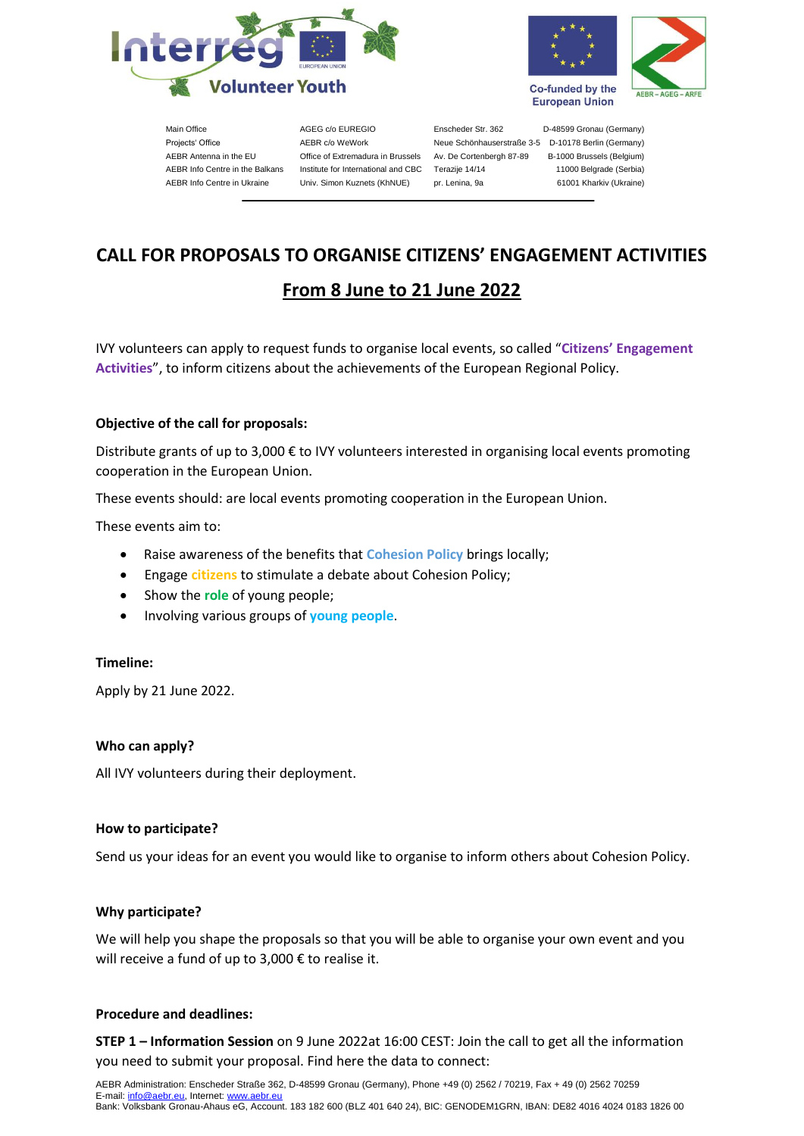



Main Office AGEG c/o EUREGIO Enscheder Str. 362 D-48599 Gronau (Germany) Projects' Office **AEBR c/o WeWork** Neue Schönhauserstraße 3-5 D-10178 Berlin (Germany) AEBR Antenna in the EU Office of Extremadura in Brussels Av. De Cortenbergh 87-89 B-1000 Brussels (Belgium) AEBR Info Centre in the Balkans Institute for International and CBC Terazije 14/14 11000 Belgrade (Serbia) AEBR Info Centre in Ukraine Univ. Simon Kuznets (KhNUE) pr. Lenina, 9a 61001 Kharkiv (Ukraine)

# **CALL FOR PROPOSALS TO ORGANISE CITIZENS' ENGAGEMENT ACTIVITIES**

# **From 8 June to 21 June 2022**

IVY volunteers can apply to request funds to organise local events, so called "**Citizens' Engagement Activities**", to inform citizens about the achievements of the European Regional Policy.

# **Objective of the call for proposals:**

Distribute grants of up to 3,000 € to IVY volunteers interested in organising local events promoting cooperation in the European Union.

These events should: are local events promoting cooperation in the European Union.

These events aim to:

- Raise awareness of the benefits that **Cohesion Policy** brings locally;
- Engage **citizens** to stimulate a debate about Cohesion Policy;
- Show the **role** of young people;
- Involving various groups of **young people**.

## **Timeline:**

Apply by 21 June 2022.

## **Who can apply?**

All IVY volunteers during their deployment.

## **How to participate?**

Send us your ideas for an event you would like to organise to inform others about Cohesion Policy.

## **Why participate?**

We will help you shape the proposals so that you will be able to organise your own event and you will receive a fund of up to 3,000 € to realise it.

## **Procedure and deadlines:**

**STEP 1 – Information Session** on 9 June 2022at 16:00 CEST: Join the call to get all the information you need to submit your proposal. Find here the data to connect: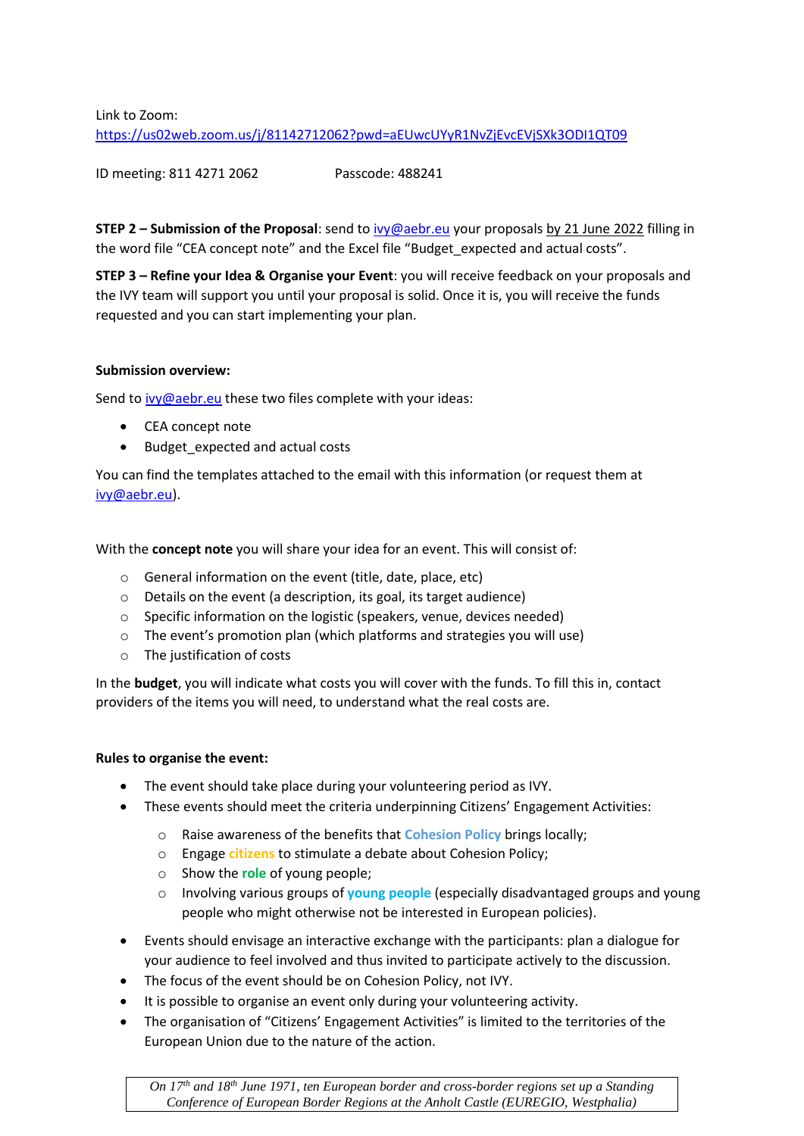Link to Zoom:

<https://us02web.zoom.us/j/81142712062?pwd=aEUwcUYyR1NvZjEvcEVjSXk3ODI1QT09>

ID meeting: 811 4271 2062 Passcode: 488241

**STEP 2 – Submission of the Proposal**: send t[o ivy@aebr.eu](mailto:ivy@aebr.eu) your proposals by 21 June 2022 filling in the word file "CEA concept note" and the Excel file "Budget\_expected and actual costs".

**STEP 3 – Refine your Idea & Organise your Event**: you will receive feedback on your proposals and the IVY team will support you until your proposal is solid. Once it is, you will receive the funds requested and you can start implementing your plan.

# **Submission overview:**

Send t[o ivy@aebr.eu](mailto:ivy@aebr.eu) these two files complete with your ideas:

- CEA concept note
- Budget\_expected and actual costs

You can find the templates attached to the email with this information (or request them at [ivy@aebr.eu\)](mailto:ivy@aebr.eu).

With the **concept note** you will share your idea for an event. This will consist of:

- o General information on the event (title, date, place, etc)
- o Details on the event (a description, its goal, its target audience)
- o Specific information on the logistic (speakers, venue, devices needed)
- $\circ$  The event's promotion plan (which platforms and strategies you will use)
- o The justification of costs

In the **budget**, you will indicate what costs you will cover with the funds. To fill this in, contact providers of the items you will need, to understand what the real costs are.

# **Rules to organise the event:**

- The event should take place during your volunteering period as IVY.
- These events should meet the criteria underpinning Citizens' Engagement Activities:
	- o Raise awareness of the benefits that **Cohesion Policy** brings locally;
	- o Engage **citizens** to stimulate a debate about Cohesion Policy;
	- o Show the **role** of young people;
	- o Involving various groups of **young people** (especially disadvantaged groups and young people who might otherwise not be interested in European policies).
- Events should envisage an interactive exchange with the participants: plan a dialogue for your audience to feel involved and thus invited to participate actively to the discussion.
- The focus of the event should be on Cohesion Policy, not IVY.
- It is possible to organise an event only during your volunteering activity.
- The organisation of "Citizens' Engagement Activities" is limited to the territories of the European Union due to the nature of the action.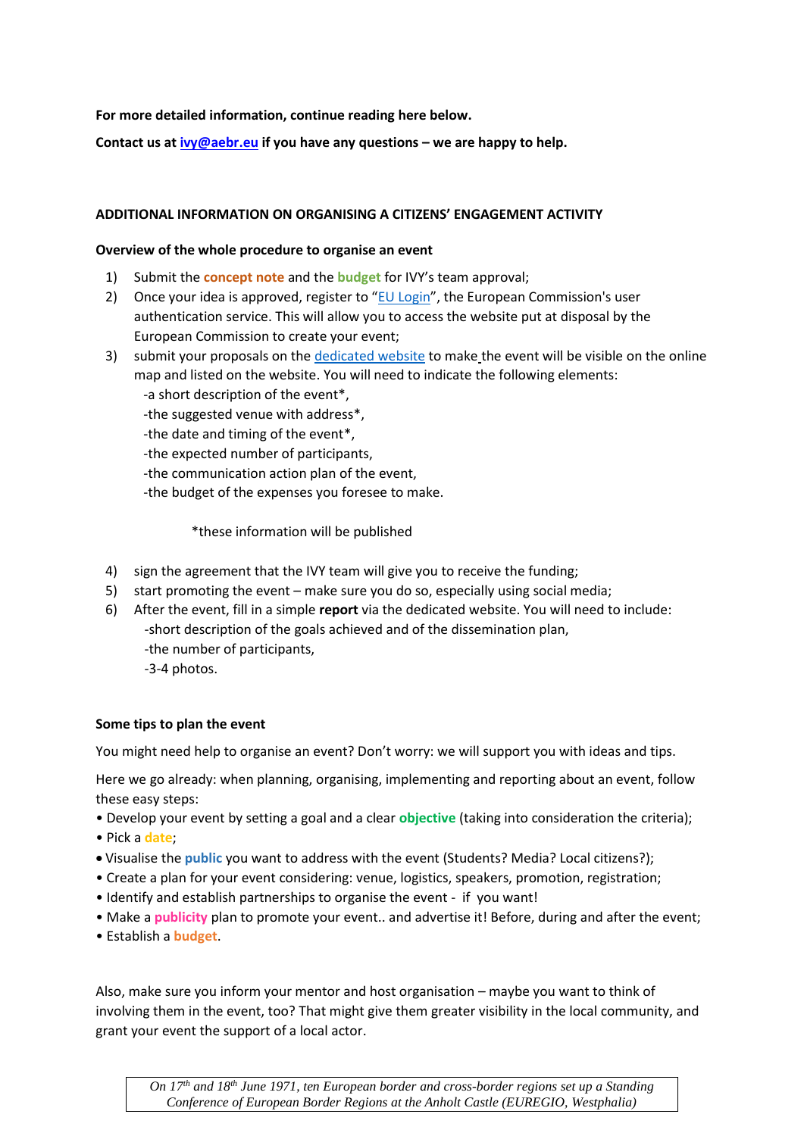**For more detailed information, continue reading here below.**

**Contact us at [ivy@aebr.eu](mailto:ivy@aebr.eu) if you have any questions – we are happy to help.**

# **ADDITIONAL INFORMATION ON ORGANISING A CITIZENS' ENGAGEMENT ACTIVITY**

## **Overview of the whole procedure to organise an event**

- 1) Submit the **concept note** and the **budget** for IVY's team approval;
- 2) Once your idea is approved, register to "[EU Login](https://ecas.ec.europa.eu/cas/eim/external/register.cgi?loginRequestId=ECAS_LR-4884398-etYFzo8GHQ1Y7NVaYzVga0cmtwJyHJDMTyhLZvQMUOubkgYHGZaHyCkxIzbHTLV18ho2CqaZeGvaxEpp0YEJ38G-rS0vSrmBGYC4uNElRzbs0x-TBd7smcEWrUGzrpSGPLxnZanPW1uWr2nPOnu08we47d)", the European Commission's user authentication service. This will allow you to access the website put at disposal by the European Commission to create your event;
- 3) submit your proposals on the [dedicated website](https://ec.europa.eu/regional_policy/en/policy/communication/local-events) to make the event will be visible on the online map and listed on the website. You will need to indicate the following elements:
	- -a short description of the event\*,
	- -the suggested venue with address\*,
	- -the date and timing of the event\*,
	- -the expected number of participants,
	- -the communication action plan of the event,
	- -the budget of the expenses you foresee to make.

\*these information will be published

- 4) sign the agreement that the IVY team will give you to receive the funding;
- 5) start promoting the event make sure you do so, especially using social media;
- 6) After the event, fill in a simple **report** via the dedicated website. You will need to include: -short description of the goals achieved and of the dissemination plan, -the number of participants,
	- -3-4 photos.

## **Some tips to plan the event**

You might need help to organise an event? Don't worry: we will support you with ideas and tips.

Here we go already: when planning, organising, implementing and reporting about an event, follow these easy steps:

- Develop your event by setting a goal and a clear **objective** (taking into consideration the criteria);
- Pick a **date**;
- Visualise the **public** you want to address with the event (Students? Media? Local citizens?);
- Create a plan for your event considering: venue, logistics, speakers, promotion, registration;
- Identify and establish partnerships to organise the event if you want!
- Make a **publicity** plan to promote your event.. and advertise it! Before, during and after the event;
- Establish a **budget**.

Also, make sure you inform your mentor and host organisation – maybe you want to think of involving them in the event, too? That might give them greater visibility in the local community, and grant your event the support of a local actor.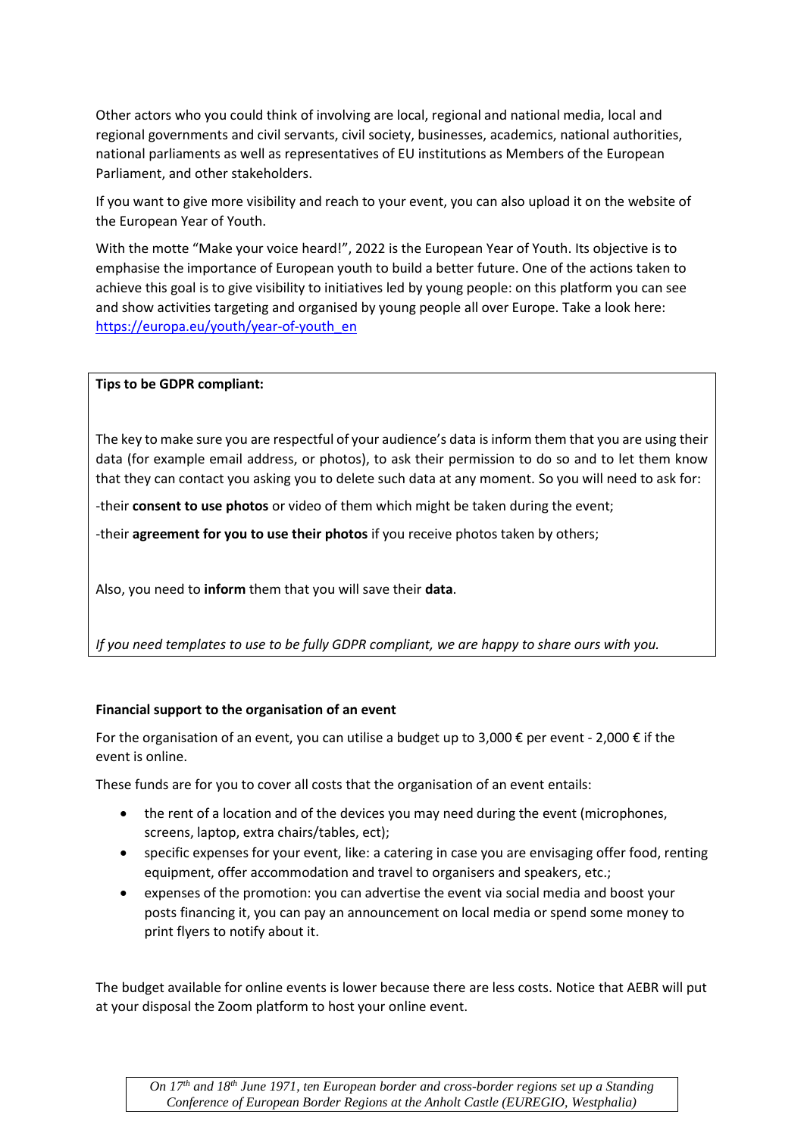Other actors who you could think of involving are local, regional and national media, local and regional governments and civil servants, civil society, businesses, academics, national authorities, national parliaments as well as representatives of EU institutions as Members of the European Parliament, and other stakeholders.

If you want to give more visibility and reach to your event, you can also upload it on the website of the European Year of Youth.

With the motte "Make your voice heard!", 2022 is the European Year of Youth. Its objective is to emphasise the importance of European youth to build a better future. One of the actions taken to achieve this goal is to give visibility to initiatives led by young people: on this platform you can see and show activities targeting and organised by young people all over Europe. Take a look here: [https://europa.eu/youth/year-of-youth\\_en](https://europa.eu/youth/year-of-youth_en)

# **Tips to be GDPR compliant:**

The key to make sure you are respectful of your audience's data is inform them that you are using their data (for example email address, or photos), to ask their permission to do so and to let them know that they can contact you asking you to delete such data at any moment. So you will need to ask for:

-their **consent to use photos** or video of them which might be taken during the event;

-their **agreement for you to use their photos** if you receive photos taken by others;

Also, you need to **inform** them that you will save their **data**.

*If you need templates to use to be fully GDPR compliant, we are happy to share ours with you.*

## **Financial support to the organisation of an event**

For the organisation of an event, you can utilise a budget up to 3,000  $\epsilon$  per event - 2,000  $\epsilon$  if the event is online.

These funds are for you to cover all costs that the organisation of an event entails:

- the rent of a location and of the devices you may need during the event (microphones, screens, laptop, extra chairs/tables, ect);
- specific expenses for your event, like: a catering in case you are envisaging offer food, renting equipment, offer accommodation and travel to organisers and speakers, etc.;
- expenses of the promotion: you can advertise the event via social media and boost your posts financing it, you can pay an announcement on local media or spend some money to print flyers to notify about it.

The budget available for online events is lower because there are less costs. Notice that AEBR will put at your disposal the Zoom platform to host your online event.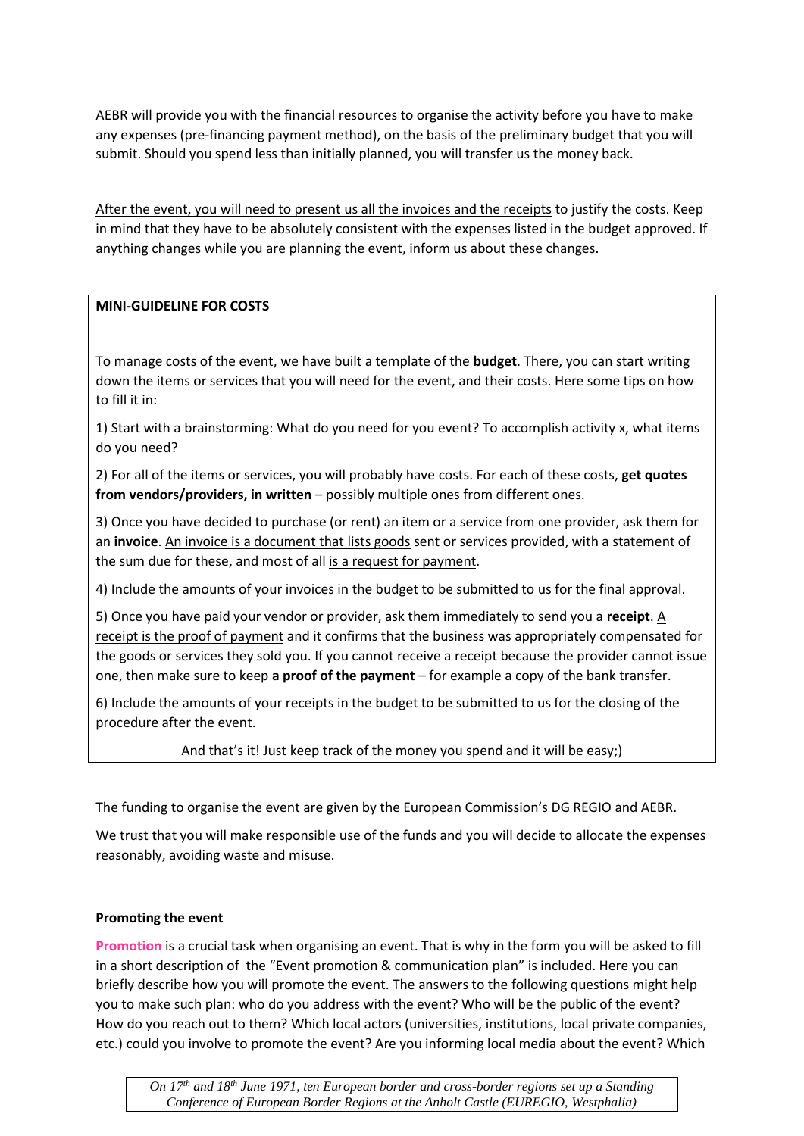AEBR will provide you with the financial resources to organise the activity before you have to make any expenses (pre-financing payment method), on the basis of the preliminary budget that you will submit. Should you spend less than initially planned, you will transfer us the money back.

After the event, you will need to present us all the invoices and the receipts to justify the costs. Keep in mind that they have to be absolutely consistent with the expenses listed in the budget approved. If anything changes while you are planning the event, inform us about these changes.

# **MINI-GUIDELINE FOR COSTS**

To manage costs of the event, we have built a template of the **budget**. There, you can start writing down the items or services that you will need for the event, and their costs. Here some tips on how to fill it in:

1) Start with a brainstorming: What do you need for you event? To accomplish activity x, what items do you need?

2) For all of the items or services, you will probably have costs. For each of these costs, **get quotes from vendors/providers, in written** – possibly multiple ones from different ones.

3) Once you have decided to purchase (or rent) an item or a service from one provider, ask them for an **invoice**. An invoice is a document that lists goods sent or services provided, with a statement of the sum due for these, and most of all is a request for payment.

4) Include the amounts of your invoices in the budget to be submitted to us for the final approval.

5) Once you have paid your vendor or provider, ask them immediately to send you a **receipt**. A receipt is the proof of payment and it confirms that the business was appropriately compensated for the goods or services they sold you. If you cannot receive a receipt because the provider cannot issue one, then make sure to keep **a proof of the payment** – for example a copy of the bank transfer.

6) Include the amounts of your receipts in the budget to be submitted to us for the closing of the procedure after the event.

And that's it! Just keep track of the money you spend and it will be easy;)

The funding to organise the event are given by the European Commission's DG REGIO and AEBR.

We trust that you will make responsible use of the funds and you will decide to allocate the expenses reasonably, avoiding waste and misuse.

# **Promoting the event**

**Promotion** is a crucial task when organising an event. That is why in the form you will be asked to fill in a short description of the "Event promotion & communication plan" is included. Here you can briefly describe how you will promote the event. The answers to the following questions might help you to make such plan: who do you address with the event? Who will be the public of the event? How do you reach out to them? Which local actors (universities, institutions, local private companies, etc.) could you involve to promote the event? Are you informing local media about the event? Which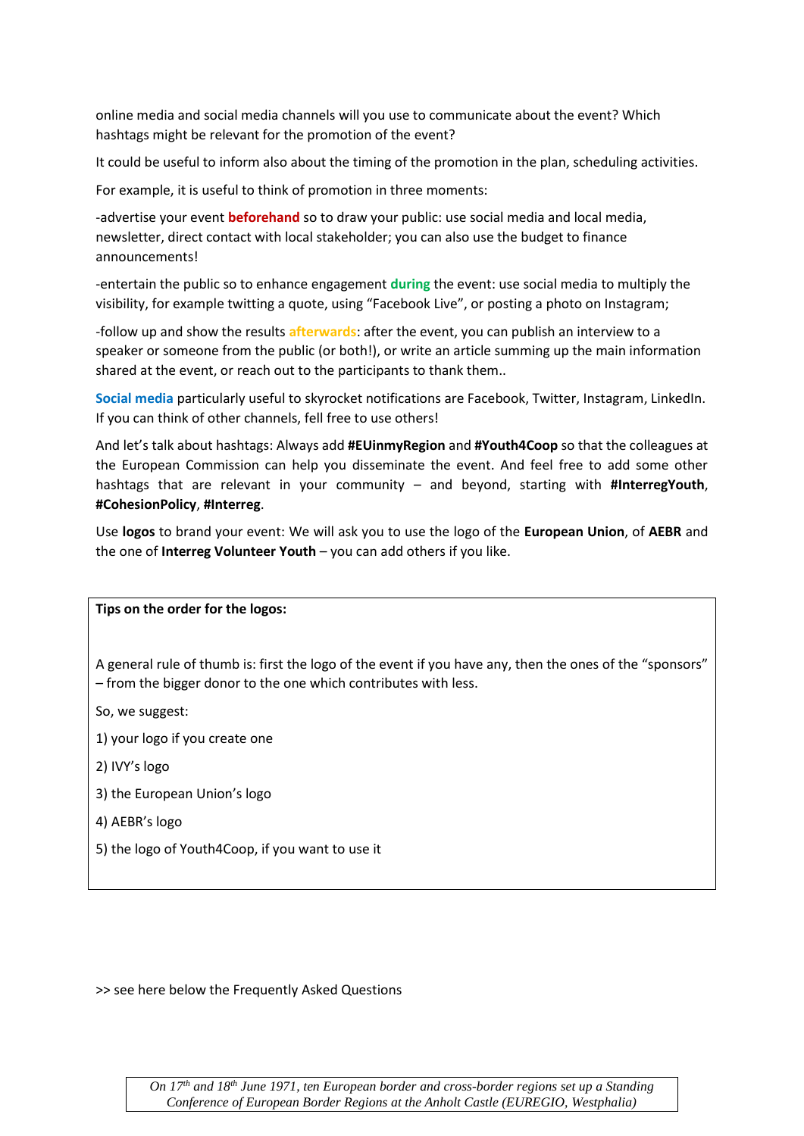online media and social media channels will you use to communicate about the event? Which hashtags might be relevant for the promotion of the event?

It could be useful to inform also about the timing of the promotion in the plan, scheduling activities.

For example, it is useful to think of promotion in three moments:

-advertise your event **beforehand** so to draw your public: use social media and local media, newsletter, direct contact with local stakeholder; you can also use the budget to finance announcements!

-entertain the public so to enhance engagement **during** the event: use social media to multiply the visibility, for example twitting a quote, using "Facebook Live", or posting a photo on Instagram;

-follow up and show the results **afterwards**: after the event, you can publish an interview to a speaker or someone from the public (or both!), or write an article summing up the main information shared at the event, or reach out to the participants to thank them..

**Social media** particularly useful to skyrocket notifications are Facebook, Twitter, Instagram, LinkedIn. If you can think of other channels, fell free to use others!

And let's talk about hashtags: Always add **#EUinmyRegion** and **#Youth4Coop** so that the colleagues at the European Commission can help you disseminate the event. And feel free to add some other hashtags that are relevant in your community – and beyond, starting with **#InterregYouth**, **#CohesionPolicy**, **#Interreg**.

Use **logos** to brand your event: We will ask you to use the logo of the **European Union**, of **AEBR** and the one of **Interreg Volunteer Youth** – you can add others if you like.

#### **Tips on the order for the logos:**

A general rule of thumb is: first the logo of the event if you have any, then the ones of the "sponsors" – from the bigger donor to the one which contributes with less.

So, we suggest:

1) your logo if you create one

- 2) IVY's logo
- 3) the European Union's logo
- 4) AEBR's logo
- 5) the logo of Youth4Coop, if you want to use it

>> see here below the Frequently Asked Questions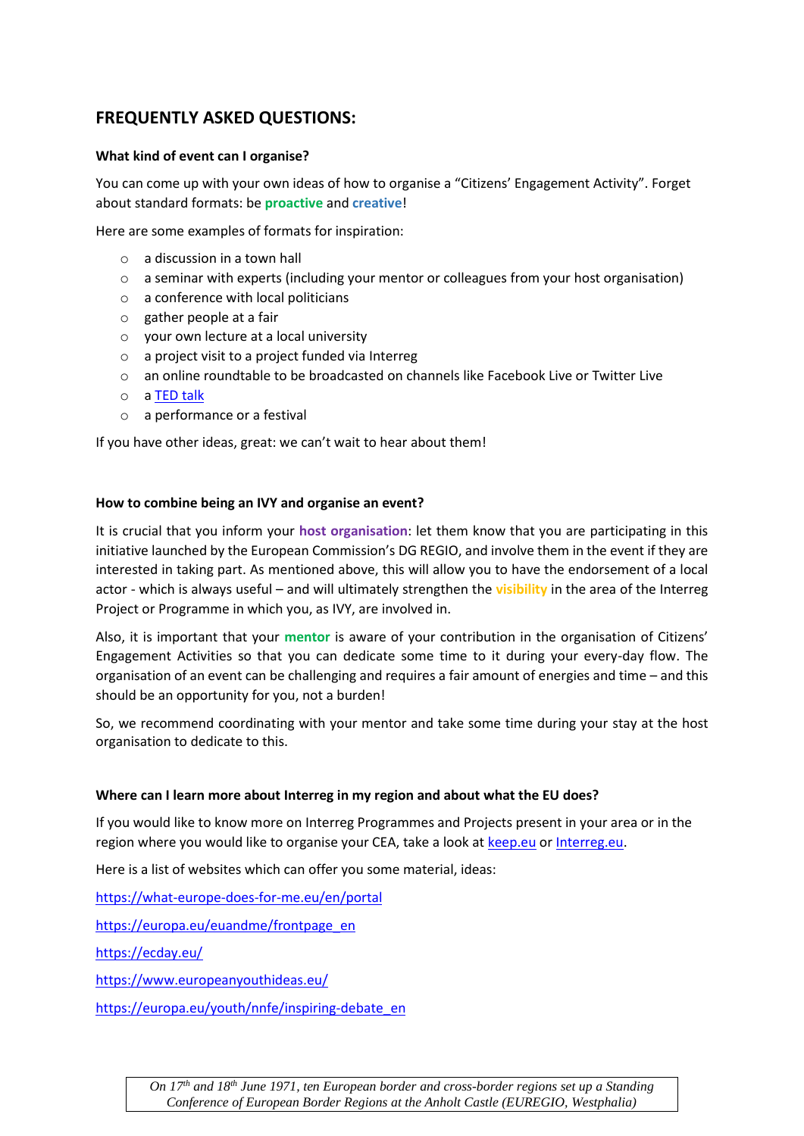# **FREQUENTLY ASKED QUESTIONS:**

# **What kind of event can I organise?**

You can come up with your own ideas of how to organise a "Citizens' Engagement Activity". Forget about standard formats: be **proactive** and **creative**!

Here are some examples of formats for inspiration:

- o a discussion in a town hall
- o a seminar with experts (including your mentor or colleagues from your host organisation)
- $\circ$  a conference with local politicians
- o gather people at a fair
- o your own lecture at a local university
- o a project visit to a project funded via Interreg
- o an online roundtable to be broadcasted on channels like Facebook Live or Twitter Live
- o [a TED talk](https://www.ted.com/participate/organize-a-local-tedx-event)
- o a performance or a festival

If you have other ideas, great: we can't wait to hear about them!

## **How to combine being an IVY and organise an event?**

It is crucial that you inform your **host organisation**: let them know that you are participating in this initiative launched by the European Commission's DG REGIO, and involve them in the event if they are interested in taking part. As mentioned above, this will allow you to have the endorsement of a local actor - which is always useful – and will ultimately strengthen the **visibility** in the area of the Interreg Project or Programme in which you, as IVY, are involved in.

Also, it is important that your **mentor** is aware of your contribution in the organisation of Citizens' Engagement Activities so that you can dedicate some time to it during your every-day flow. The organisation of an event can be challenging and requires a fair amount of energies and time – and this should be an opportunity for you, not a burden!

So, we recommend coordinating with your mentor and take some time during your stay at the host organisation to dedicate to this.

## **Where can I learn more about Interreg in my region and about what the EU does?**

If you would like to know more on Interreg Programmes and Projects present in your area or in the region where you would like to organise your CEA, take a look at [keep.eu](https://www.keep.eu/) o[r Interreg.eu.](https://interreg.eu/)

Here is a list of websites which can offer you some material, ideas:

<https://what-europe-does-for-me.eu/en/portal>

[https://europa.eu/euandme/frontpage\\_en](https://europa.eu/euandme/frontpage_en)

<https://ecday.eu/>

<https://www.europeanyouthideas.eu/>

[https://europa.eu/youth/nnfe/inspiring-debate\\_en](https://europa.eu/youth/nnfe/inspiring-debate_en)